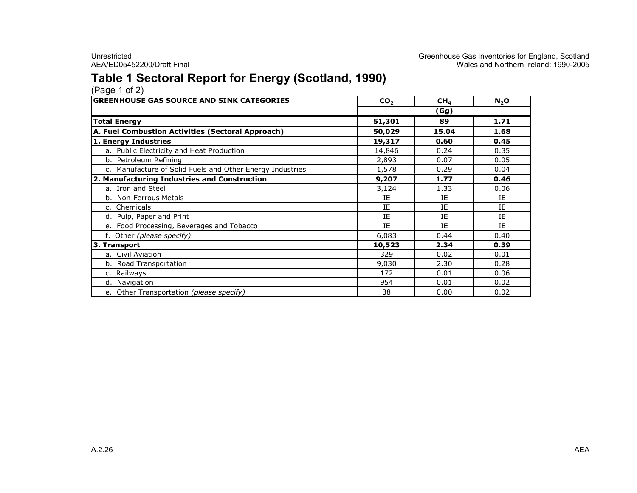# Table 1 Sectoral Report for Energy (Scotland, 1990)

| (Page 1 of 2) |  |  |
|---------------|--|--|
|               |  |  |

| <b>GREENHOUSE GAS SOURCE AND SINK CATEGORIES</b>          | CO <sub>2</sub> | CH <sub>4</sub> | $N_2$ O |
|-----------------------------------------------------------|-----------------|-----------------|---------|
|                                                           |                 | (Gg)            |         |
| <b>Total Energy</b>                                       | 51,301          | 89              | 1.71    |
| A. Fuel Combustion Activities (Sectoral Approach)         | 50,029          | 15.04           | 1.68    |
| 1. Energy Industries                                      | 19,317          | 0.60            | 0.45    |
| a. Public Electricity and Heat Production                 | 14,846          | 0.24            | 0.35    |
| b. Petroleum Refining                                     | 2,893           | 0.07            | 0.05    |
| c. Manufacture of Solid Fuels and Other Energy Industries | 1,578           | 0.29            | 0.04    |
| 2. Manufacturing Industries and Construction              | 9,207           | 1.77            | 0.46    |
| a. Iron and Steel                                         | 3,124           | 1.33            | 0.06    |
| b. Non-Ferrous Metals                                     | IE              | IE              | IE      |
| c. Chemicals                                              | IE              | IE              | IE      |
| d. Pulp, Paper and Print                                  | IE              | IE              | IE      |
| e. Food Processing, Beverages and Tobacco                 | IE              | IE              | IE      |
| f. Other (please specify)                                 | 6,083           | 0.44            | 0.40    |
| 3. Transport                                              | 10,523          | 2.34            | 0.39    |
| a. Civil Aviation                                         | 329             | 0.02            | 0.01    |
| b. Road Transportation                                    | 9,030           | 2.30            | 0.28    |
| c. Railways                                               | 172             | 0.01            | 0.06    |
| d. Navigation                                             | 954             | 0.01            | 0.02    |
| e. Other Transportation (please specify)                  | 38              | 0.00            | 0.02    |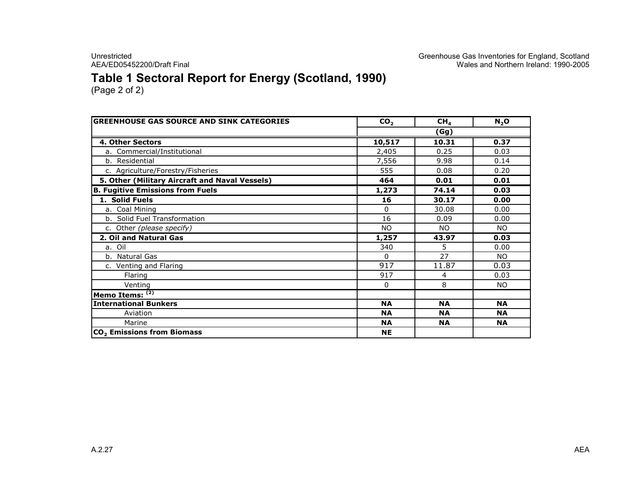Unrestricted Creenhouse Gas Inventories for England, Scotland<br>Greenhouse Gas Inventories for England, Scotland<br>Wales and Northern Ireland: 1990-2005 AEA/ED05452200/Draft Final Wales and Northern Ireland: 1990-2005

# Table 1 Sectoral Report for Energy (Scotland, 1990)

| <b>GREENHOUSE GAS SOURCE AND SINK CATEGORIES</b> | CO <sub>2</sub> | CH <sub>4</sub> | N <sub>2</sub> O |  |  |
|--------------------------------------------------|-----------------|-----------------|------------------|--|--|
|                                                  | (Gg)            |                 |                  |  |  |
| 4. Other Sectors                                 | 10,517          | 10.31           | 0.37             |  |  |
| a. Commercial/Institutional                      | 2,405           | 0.25            | 0.03             |  |  |
| b. Residential                                   | 7,556           | 9.98            | 0.14             |  |  |
| c. Agriculture/Forestry/Fisheries                | 555             | 0.08            | 0.20             |  |  |
| 5. Other (Military Aircraft and Naval Vessels)   | 464             | 0.01            | 0.01             |  |  |
| <b>B. Fugitive Emissions from Fuels</b>          | 1,273           | 74.14           | 0.03             |  |  |
| 1. Solid Fuels                                   | 16              | 30.17           | 0.00             |  |  |
| a. Coal Mining                                   | $\Omega$        | 30.08           | 0.00             |  |  |
| b. Solid Fuel Transformation                     | 16              | 0.09            | 0.00             |  |  |
| c. Other (please specify)                        | <b>NO</b>       | <b>NO</b>       | <b>NO</b>        |  |  |
| 2. Oil and Natural Gas                           | 1,257           | 43.97           | 0.03             |  |  |
| a. Oil                                           | 340             | 5               | 0.00             |  |  |
| b. Natural Gas                                   | $\Omega$        | 27              | NO.              |  |  |
| c. Venting and Flaring                           | 917             | 11.87           | 0.03             |  |  |
| Flaring                                          | 917             | 4               | 0.03             |  |  |
| Venting                                          | 0               | 8               | NO.              |  |  |
| Memo Items: (2)                                  |                 |                 |                  |  |  |
| <b>International Bunkers</b>                     | <b>NA</b>       | <b>NA</b>       | <b>NA</b>        |  |  |
| Aviation                                         | <b>NA</b>       | <b>NA</b>       | <b>NA</b>        |  |  |
| Marine                                           | <b>NA</b>       | <b>NA</b>       | <b>NA</b>        |  |  |
| CO <sub>2</sub> Emissions from Biomass           | <b>NE</b>       |                 |                  |  |  |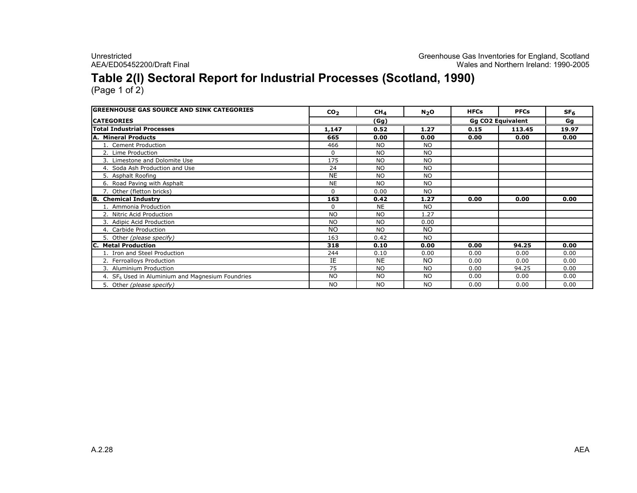### Table 2(I) Sectoral Report for Industrial Processes (Scotland, 1990)

| <b>GREENHOUSE GAS SOURCE AND SINK CATEGORIES</b>   | CO <sub>2</sub> | CH <sub>4</sub> | $N_2$ O   | <b>HFCs</b>              | <b>PFCs</b> | SF <sub>6</sub> |
|----------------------------------------------------|-----------------|-----------------|-----------|--------------------------|-------------|-----------------|
| <b>CATEGORIES</b>                                  |                 | (Gg)            |           | <b>Gg CO2 Equivalent</b> |             | Gq              |
| <b>Total Industrial Processes</b>                  | 1,147           | 0.52            | 1.27      | 0.15                     | 113.45      | 19.97           |
| A. Mineral Products                                | 665             | 0.00            | 0.00      | 0.00                     | 0.00        | 0.00            |
| 1. Cement Production                               | 466             | <b>NO</b>       | <b>NO</b> |                          |             |                 |
| 2. Lime Production                                 | 0               | <b>NO</b>       | <b>NO</b> |                          |             |                 |
| 3. Limestone and Dolomite Use                      | 175             | <b>NO</b>       | <b>NO</b> |                          |             |                 |
| 4. Soda Ash Production and Use                     | 24              | <b>NO</b>       | <b>NO</b> |                          |             |                 |
| 5. Asphalt Roofing                                 | <b>NE</b>       | NO.             | <b>NO</b> |                          |             |                 |
| 6. Road Paving with Asphalt                        | <b>NE</b>       | NO.             | <b>NO</b> |                          |             |                 |
| 7. Other (fletton bricks)                          | $\Omega$        | 0.00            | <b>NO</b> |                          |             |                 |
| <b>B.</b> Chemical Industry                        | 163             | 0.42            | 1.27      | 0.00                     | 0.00        | 0.00            |
| 1. Ammonia Production                              | 0               | <b>NE</b>       | <b>NO</b> |                          |             |                 |
| 2. Nitric Acid Production                          | <b>NO</b>       | NO.             | 1.27      |                          |             |                 |
| 3. Adipic Acid Production                          | <b>NO</b>       | <b>NO</b>       | 0.00      |                          |             |                 |
| 4. Carbide Production                              | <b>NO</b>       | <b>NO</b>       | <b>NO</b> |                          |             |                 |
| 5. Other (please specify)                          | 163             | 0.42            | <b>NO</b> |                          |             |                 |
| C. Metal Production                                | 318             | 0.10            | 0.00      | 0.00                     | 94.25       | 0.00            |
| 1. Iron and Steel Production                       | 244             | 0.10            | 0.00      | 0.00                     | 0.00        | 0.00            |
| 2. Ferroalloys Production                          | IE              | <b>NE</b>       | <b>NO</b> | 0.00                     | 0.00        | 0.00            |
| 3. Aluminium Production                            | 75              | <b>NO</b>       | <b>NO</b> | 0.00                     | 94.25       | 0.00            |
| 4. $SF6$ Used in Aluminium and Magnesium Foundries | <b>NO</b>       | NO.             | <b>NO</b> | 0.00                     | 0.00        | 0.00            |
| 5. Other (please specify)                          | <b>NO</b>       | <b>NO</b>       | <b>NO</b> | 0.00                     | 0.00        | 0.00            |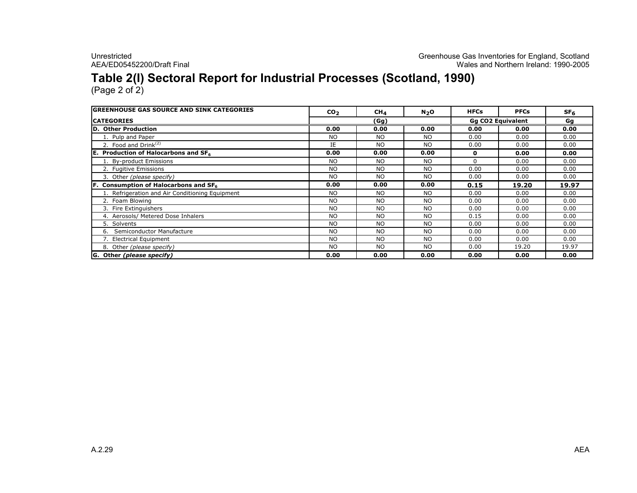# Table 2(I) Sectoral Report for Industrial Processes (Scotland, 1990)

| <b>GREENHOUSE GAS SOURCE AND SINK CATEGORIES</b> | CO <sub>2</sub> | CH <sub>4</sub> | N <sub>2</sub> O | <b>HFCs</b> | <b>PFCs</b>              | SF <sub>6</sub> |  |
|--------------------------------------------------|-----------------|-----------------|------------------|-------------|--------------------------|-----------------|--|
| <b>CATEGORIES</b>                                |                 | (Gg)            |                  |             | <b>Gg CO2 Equivalent</b> |                 |  |
| D. Other Production                              | 0.00            | 0.00            | 0.00             | 0.00        | 0.00                     | 0.00            |  |
| 1. Pulp and Paper                                | <b>NO</b>       | <b>NO</b>       | <b>NO</b>        | 0.00        | 0.00                     | 0.00            |  |
| 2. Food and $Drink(2)$                           | IE              | <b>NO</b>       | <b>NO</b>        | 0.00        | 0.00                     | 0.00            |  |
| E. Production of Halocarbons and SF6             | 0.00            | 0.00            | 0.00             | 0           | 0.00                     | 0.00            |  |
| 1. By-product Emissions                          | <b>NO</b>       | <b>NO</b>       | <b>NO</b>        | 0           | 0.00                     | 0.00            |  |
| 2. Fugitive Emissions                            | <b>NO</b>       | <b>NO</b>       | <b>NO</b>        | 0.00        | 0.00                     | 0.00            |  |
| 3. Other (please specify)                        | <b>NO</b>       | <b>NO</b>       | <b>NO</b>        | 0.00        | 0.00                     | 0.00            |  |
| Consumption of Halocarbons and SF6               | 0.00            | 0.00            | 0.00             | 0.15        | 19.20                    | 19.97           |  |
| 1. Refrigeration and Air Conditioning Equipment  | NO.             | <b>NO</b>       | NO.              | 0.00        | 0.00                     | 0.00            |  |
| 2. Foam Blowing                                  | <b>NO</b>       | <b>NO</b>       | <b>NO</b>        | 0.00        | 0.00                     | 0.00            |  |
| 3. Fire Extinguishers                            | <b>NO</b>       | <b>NO</b>       | <b>NO</b>        | 0.00        | 0.00                     | 0.00            |  |
| 4. Aerosols/ Metered Dose Inhalers               | <b>NO</b>       | <b>NO</b>       | <b>NO</b>        | 0.15        | 0.00                     | 0.00            |  |
| 5. Solvents                                      | <b>NO</b>       | <b>NO</b>       | <b>NO</b>        | 0.00        | 0.00                     | 0.00            |  |
| Semiconductor Manufacture<br>6.                  | <b>NO</b>       | <b>NO</b>       | <b>NO</b>        | 0.00        | 0.00                     | 0.00            |  |
| 7. Electrical Equipment                          | <b>NO</b>       | <b>NO</b>       | <b>NO</b>        | 0.00        | 0.00                     | 0.00            |  |
| 8. Other (please specify)                        | <b>NO</b>       | <b>NO</b>       | <b>NO</b>        | 0.00        | 19.20                    | 19.97           |  |
| G. Other (please specify)                        | 0.00            | 0.00            | 0.00             | 0.00        | 0.00                     | 0.00            |  |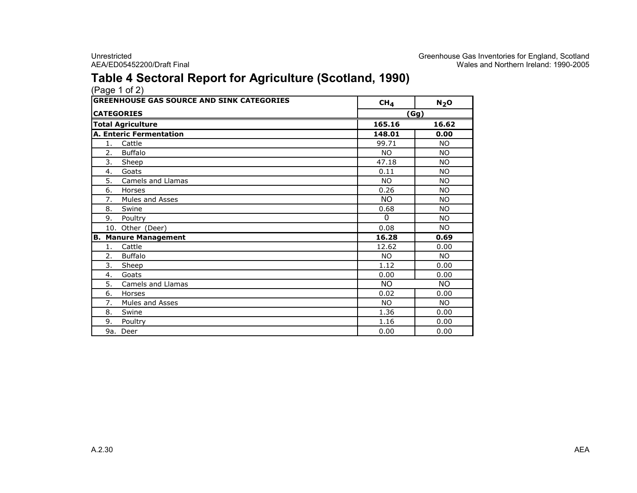### Table 4 Sectoral Report for Agriculture (Scotland, 1990)

|           | (Page 1 of 2)                                    |                 |           |  |  |
|-----------|--------------------------------------------------|-----------------|-----------|--|--|
|           | <b>GREENHOUSE GAS SOURCE AND SINK CATEGORIES</b> | CH <sub>4</sub> | $N_2$ O   |  |  |
|           | <b>CATEGORIES</b>                                |                 | (Gg)      |  |  |
|           | <b>Total Agriculture</b>                         | 165.16          | 16.62     |  |  |
|           | <b>A. Enteric Fermentation</b>                   | 148.01          | 0.00      |  |  |
| 1.        | Cattle                                           | 99.71           | NO.       |  |  |
| 2.        | <b>Buffalo</b>                                   | <b>NO</b>       | NO.       |  |  |
| 3.        | Sheep                                            | 47.18           | <b>NO</b> |  |  |
| 4.        | Goats                                            | 0.11            | NO.       |  |  |
| 5.        | Camels and Llamas                                | <b>NO</b>       | NO.       |  |  |
| 6.        | Horses                                           | 0.26            | <b>NO</b> |  |  |
| 7.        | Mules and Asses                                  | N <sub>O</sub>  | <b>NO</b> |  |  |
| 8.        | Swine                                            | 0.68            | NO.       |  |  |
| 9.        | Poultry                                          | $\Omega$        | NO.       |  |  |
|           | 10. Other (Deer)                                 | 0.08            | NO.       |  |  |
| <b>B.</b> | <b>Manure Management</b>                         | 16.28           | 0.69      |  |  |
| 1.        | Cattle                                           | 12.62           | 0.00      |  |  |
| 2.        | <b>Buffalo</b>                                   | <b>NO</b>       | NO.       |  |  |
| 3.        | Sheep                                            | 1.12            | 0.00      |  |  |
| 4.        | Goats                                            | 0.00            | 0.00      |  |  |
| 5.        | Camels and Llamas                                | <b>NO</b>       | NO.       |  |  |
| 6.        | Horses                                           | 0.02            | 0.00      |  |  |
| 7.        | Mules and Asses                                  | <b>NO</b>       | NO.       |  |  |
| 8.        | Swine                                            | 1.36            | 0.00      |  |  |
| 9.        | Poultry                                          | 1.16            | 0.00      |  |  |
|           | 9a. Deer                                         | 0.00            | 0.00      |  |  |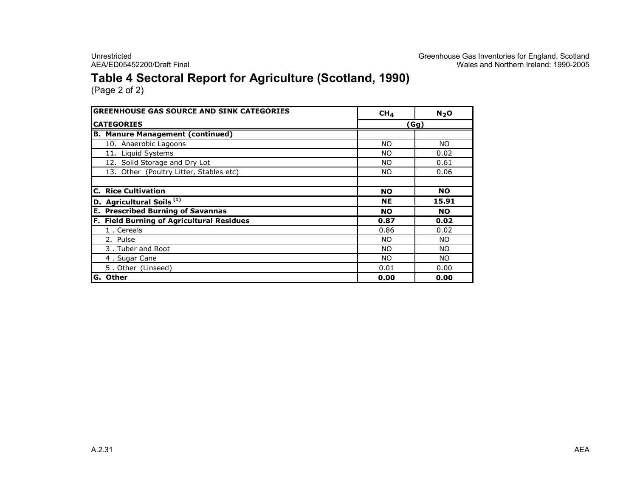# Table 4 Sectoral Report for Agriculture (Scotland, 1990)

| <b>GREENHOUSE GAS SOURCE AND SINK CATEGORIES</b> | CH <sub>4</sub> | N <sub>2</sub> O |  |  |
|--------------------------------------------------|-----------------|------------------|--|--|
| <b>CATEGORIES</b>                                | (Gg)            |                  |  |  |
| <b>B. Manure Management (continued)</b>          |                 |                  |  |  |
| 10. Anaerobic Lagoons                            | NO.             | NO.              |  |  |
| 11. Liquid Systems                               | NO.             | 0.02             |  |  |
| 12. Solid Storage and Dry Lot                    | NO.             | 0.61             |  |  |
| 13. Other (Poultry Litter, Stables etc)          | NO.             | 0.06             |  |  |
| <b>C. Rice Cultivation</b>                       | <b>NO</b>       | <b>NO</b>        |  |  |
| D. Agricultural Soils <sup>(1)</sup>             | <b>NE</b>       | 15.91            |  |  |
| <b>Prescribed Burning of Savannas</b><br>Е.      | <b>NO</b>       | <b>NO</b>        |  |  |
| F. Field Burning of Agricultural Residues        | 0.87            | 0.02             |  |  |
| 1. Cereals                                       | 0.86            | 0.02             |  |  |
| 2. Pulse                                         | <b>NO</b>       | NO.              |  |  |
| 3. Tuber and Root                                | NO.             | NO.              |  |  |
| 4. Sugar Cane                                    | NO.             | NO.              |  |  |
| 5. Other (Linseed)                               | 0.01            | 0.00             |  |  |
| G. Other                                         | 0.00            | 0.00             |  |  |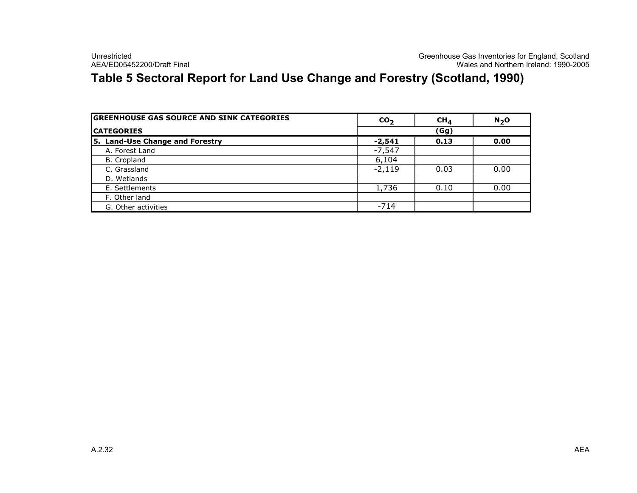# Table 5 Sectoral Report for Land Use Change and Forestry (Scotland, 1990)

| <b>GREENHOUSE GAS SOURCE AND SINK CATEGORIES</b> | CO <sub>2</sub> | $CH_{4}$ | $N_2$ O |
|--------------------------------------------------|-----------------|----------|---------|
| <b>CATEGORIES</b>                                | (Gg)            |          |         |
| 5. Land-Use Change and Forestry                  | $-2,541$        | 0.13     | 0.00    |
| A. Forest Land                                   | $-7,547$        |          |         |
| B. Cropland                                      | 6,104           |          |         |
| C. Grassland                                     | $-2,119$        | 0.03     | 0.00    |
| D. Wetlands                                      |                 |          |         |
| E. Settlements                                   | 1,736           | 0.10     | 0.00    |
| F. Other land                                    |                 |          |         |
| G. Other activities                              | $-714$          |          |         |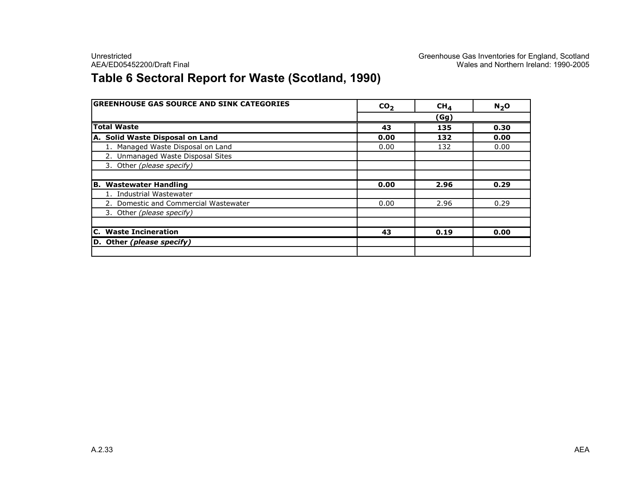# Table 6 Sectoral Report for Waste (Scotland, 1990)

| <b>GREENHOUSE GAS SOURCE AND SINK CATEGORIES</b> | CO <sub>2</sub> | CH <sub>4</sub> | $N_2$ O |
|--------------------------------------------------|-----------------|-----------------|---------|
|                                                  |                 | (Gg)            |         |
| <b>Total Waste</b>                               | 43              | 135             | 0.30    |
| A. Solid Waste Disposal on Land                  | 0.00            | 132             | 0.00    |
| 1. Managed Waste Disposal on Land                | 0.00            | 132             | 0.00    |
| 2. Unmanaged Waste Disposal Sites                |                 |                 |         |
| 3. Other (please specify)                        |                 |                 |         |
|                                                  |                 |                 |         |
| B.<br><b>Wastewater Handling</b>                 | 0.00            | 2.96            | 0.29    |
| 1. Industrial Wastewater                         |                 |                 |         |
| 2. Domestic and Commercial Wastewater            | 0.00            | 2.96            | 0.29    |
| 3. Other (please specify)                        |                 |                 |         |
|                                                  |                 |                 |         |
| C. Waste Incineration                            | 43              | 0.19            | 0.00    |
| D. Other (please specify)                        |                 |                 |         |
|                                                  |                 |                 |         |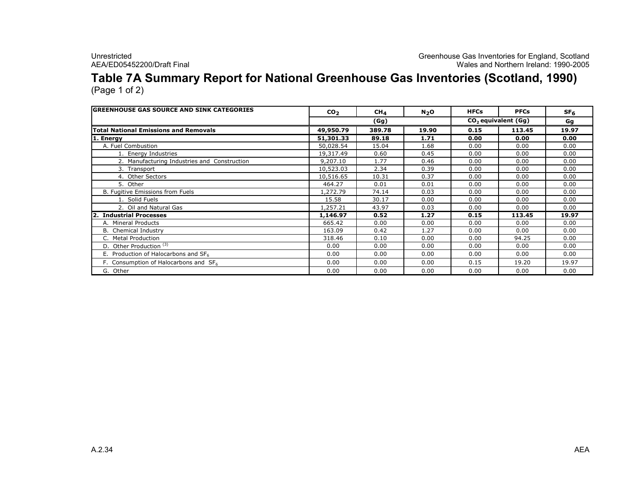Unrestricted<br>Greenhouse Gas Inventories for England, Scotland<br>Wales and Northern Ireland: 1990-2005 AEA/ED05452200/Draft Final Wales and Northern Ireland: 1990-2005

### Table 7A Summary Report for National Greenhouse Gas Inventories (Scotland, 1990) (Page 1 of 2)

| <b>GREENHOUSE GAS SOURCE AND SINK CATEGORIES</b> | CO <sub>2</sub> | CH <sub>4</sub> | $N_2$ O | <b>HFCs</b>           | <b>PFCs</b> | SF <sub>6</sub> |
|--------------------------------------------------|-----------------|-----------------|---------|-----------------------|-------------|-----------------|
|                                                  |                 | (Gg)            |         | $CO2$ equivalent (Gg) | Gg          |                 |
| <b>Total National Emissions and Removals</b>     | 49,950.79       | 389.78          | 19.90   | 0.15                  | 113.45      | 19.97           |
| 1. Energy                                        | 51,301.33       | 89.18           | 1.71    | 0.00                  | 0.00        | 0.00            |
| A. Fuel Combustion                               | 50,028.54       | 15.04           | 1.68    | 0.00                  | 0.00        | 0.00            |
| 1. Energy Industries                             | 19,317.49       | 0.60            | 0.45    | 0.00                  | 0.00        | 0.00            |
| 2. Manufacturing Industries and Construction     | 9,207.10        | 1.77            | 0.46    | 0.00                  | 0.00        | 0.00            |
| 3. Transport                                     | 10,523.03       | 2.34            | 0.39    | 0.00                  | 0.00        | 0.00            |
| 4. Other Sectors                                 | 10,516.65       | 10.31           | 0.37    | 0.00                  | 0.00        | 0.00            |
| 5. Other                                         | 464.27          | 0.01            | 0.01    | 0.00                  | 0.00        | 0.00            |
| B. Fugitive Emissions from Fuels                 | 1,272.79        | 74.14           | 0.03    | 0.00                  | 0.00        | 0.00            |
| 1. Solid Fuels                                   | 15.58           | 30.17           | 0.00    | 0.00                  | 0.00        | 0.00            |
| 2. Oil and Natural Gas                           | 1,257.21        | 43.97           | 0.03    | 0.00                  | 0.00        | 0.00            |
| 2. Industrial Processes                          | 1,146.97        | 0.52            | 1.27    | 0.15                  | 113.45      | 19.97           |
| A. Mineral Products                              | 665.42          | 0.00            | 0.00    | 0.00                  | 0.00        | 0.00            |
| <b>B.</b> Chemical Industry                      | 163.09          | 0.42            | 1.27    | 0.00                  | 0.00        | 0.00            |
| C. Metal Production                              | 318.46          | 0.10            | 0.00    | 0.00                  | 94.25       | 0.00            |
| D. Other Production <sup>(3)</sup>               | 0.00            | 0.00            | 0.00    | 0.00                  | 0.00        | 0.00            |
| E. Production of Halocarbons and SF <sub>6</sub> | 0.00            | 0.00            | 0.00    | 0.00                  | 0.00        | 0.00            |
| F. Consumption of Halocarbons and $SF6$          | 0.00            | 0.00            | 0.00    | 0.15                  | 19.20       | 19.97           |
| G. Other                                         | 0.00            | 0.00            | 0.00    | 0.00                  | 0.00        | 0.00            |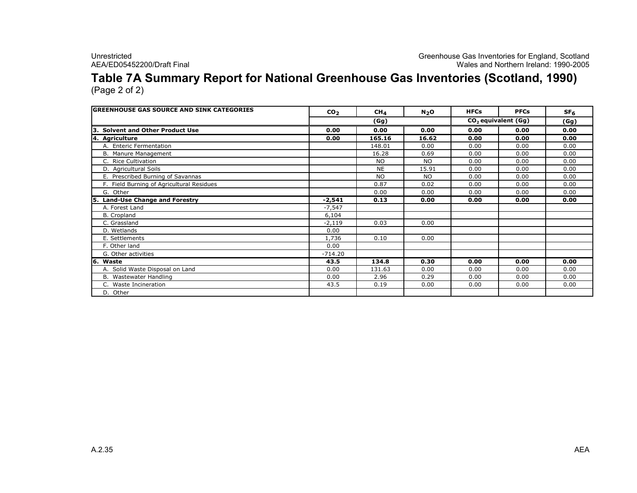Unrestricted Greenhouse Gas Inventories for England, Scotland AEA/ED05452200/Draft Final Wales and Northern Ireland: 1990-2005

### Table 7A Summary Report for National Greenhouse Gas Inventories (Scotland, 1990) (Page 2 of 2)

GREENHOUSE GAS SOURCE AND SINK CATEGORIES CO2 CH<sup>4</sup> $\frac{4}{1}$  N<sub>2</sub>O HFCs PFCs SF<sub>6</sub> (Gg) $0.00$ 3. Solvent and Other Product Use 0.00 0.00 0.00 0.00 0.00 0.00 4. Agriculture 0.00 165.16 16.62 0.00 0.00 0.00 A. Enteric Fermentation $\begin{array}{|c|c|c|c|c|c|c|c|c|c|c|} \hline \multicolumn{1}{|c|}{148.01} & 0.00 & 0.00 & 0.00 & 0.00 & 0.00 \ \hline \multicolumn{1}{|c|}{148.01} & 16.28 & 0.60 & 0.00 & 0.00 & 0.00 & 0.00 \ \hline \multicolumn{1}{|c|}{0.00} & 0.00 & 0.00 & 0.00 & 0.00 & 0.00 \ \hline \end{array}$ B. Manure Management $\frac{16.28}{NQ}$  0.69 0.00 0.00 0.00 0.00<br>Note that the contract of the contract of the contract of the contract of the contract of the contract of the contract of the contract of the contract of the contract of the contrac C. Rice Cultivation NO NO 0.00 0.00 0.00 D. Agricultural Soils NE 15.91 0.00 0.00 0.00 E. Prescribed Burning of Savannass<br><u>neiduse and the second control of the second control of the second control of</u> the second control of the second<br>residuse and control of the second control of the second control of the second control of the second contro F. Field Burning of Agricultural Residues 0.87 0.02 0.00 0.00 0.00 G. Other 0.00 0.00 0.00 0.00 0.00 5. Land-Use Change and Forestry -2,541 0.13 0.00 0.00 0.00 0.00 A. Forest Land -7,5476,104 B. Croplandd 6,104  $-2,119$ C. Grasslandd  $-2,119$  0.03 0.00<br>c D. Wetlandss  $0.00$ 1,736 E. Settlementss 1,736 0.10 0.00<br>2000 0.10 0.00 F. Other landd 0.00  $-714.20$ G. Other activities -714.20 $43.5$ 6. Waste 43.5 134.8 0.30 0.00 0.00 0.00 A. Solid Waste Disposal on Land 0.00 131.63 0.00 0.00 0.00 0.00 B. Wastewater Handling 0.00 2.96 0.29 0.00 0.00 0.00 C. Waste Incinerationn 43.5 0.19 0.00 0.00 0.00 0.00 D. Other(Gg)CO<sub>2</sub> equivalent (Gg)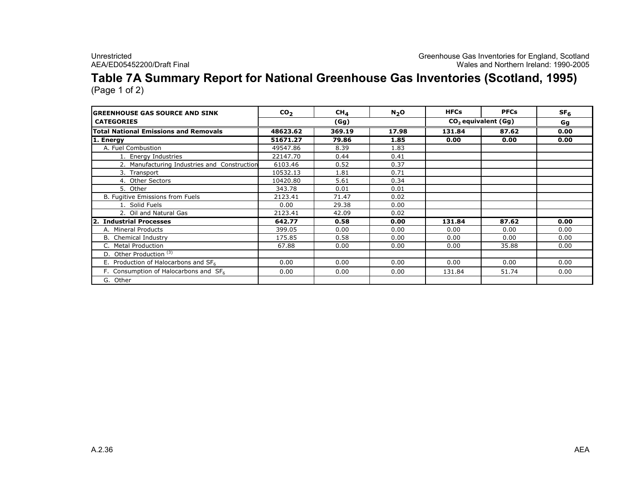### Table 7A Summary Report for National Greenhouse Gas Inventories (Scotland, 1995) (Page 1 of 2)

GREENHOUSE GAS SOURCE AND SINKK  $CO_2$  CH<sub>4</sub> N<sub>2</sub>O HFCs PFCs SF<sub>6</sub> CATEGORIES Gg $0.00$ Total National Emissions and Removals 48623.62 369.19 17.98 131.84 87.62 0.00<br>1. Energy 0.00 51671.27 79.86 1.85 0.00 0.00 0.00 1. Energyy 51671.27 79.86 1.85 0.00 0.00 0.00<br>bl.Combuction 40547.96 9.30 1.93 0.00 0.00 A. Fuel Combustion 49547.86 8.39 1.83 1. Energy Industries 22147.70 0.44 0.41 2. Manufacturing Industries and Construction  $\begin{array}{c|c} 6103.46 & 0.52 & 0.37 \end{array}$ 3. Transport $\begin{array}{|c|c|c|c|c|c|}\n \hline\n t & 10532.13 & 1.81 & 0.71 \\
 \hline\n \end{array}$ 4. Other Sectorss 10420.80 5.61 0.34 5. Other $\begin{array}{|c|c|c|c|c|}\n \hline\n \text{r} & 343.78 & 0.01 & 0.01 \\
 \hline\n \text{Ricions from Euler} & 2122.41 & 71.47 & 0.02\n \hline\n \end{array}$ 8. Fugitive Emissions from Fuels 2123.41 71.47 0.02<br>1. Solid Fuels 0.00 29.38 0.00 1. Solid Fuelss<br>
<u>0.00 29.38 0.00</u><br>
0.00 1122.41 42.00 0.00 2. Oil and Natural Gas <br> **2123.41** 42.09 0.02<br> **2123.41** 42.09 0.02<br> **2123.41** 42.09 0.00 2. Industrial Processes $\begin{array}{|c|c|c|c|c|c|c|c|}\n \hline\n \text{5} & \text{642.77} & \text{0.58} & \text{0.00} & \text{131.84} & \text{87.62} & \text{0.00} \\
 \hline\n & 200.05 & 0.00 & 0.00 & 0.00 & 0.00 & 0.00 & 0.00 \\
 \hline\n \end{array}$ A. Mineral Products 399.05 0.00 0.00 0.00 0.00 0.00 B. Chemical Industry175.85 0.58 0.00 0.00 0.00 0.00 0.00<br>- 27.88 0.00 0.00 0.00 0.00 27.58 0.00 C. Metal Production 67.88 0.00 0.00 0.00 35.88 0.00 D. Other Production<sup>(3)</sup> E. Production of Halocarbons and  $SF<sub>6</sub>$  $\frac{6}{\sqrt{5}}$  0.00 0.00 0.00 0.00 0.00 0.00 0.00 F. Consumption of Halocarbons and  $SF<sub>6</sub>$  $\begin{array}{|c|c|c|c|c|c|c|c|c|} \hline \multicolumn{1}{c|}{0.00} & \multicolumn{1}{c|}{0.00} & \multicolumn{1}{c|}{0.00} & \multicolumn{1}{c|}{131.84} & \multicolumn{1}{c|}{51.74} & \multicolumn{1}{c|}{0.00} \ \hline \end{array}$ G. Other (Gg) $CO<sub>2</sub>$  equivalent (Gg)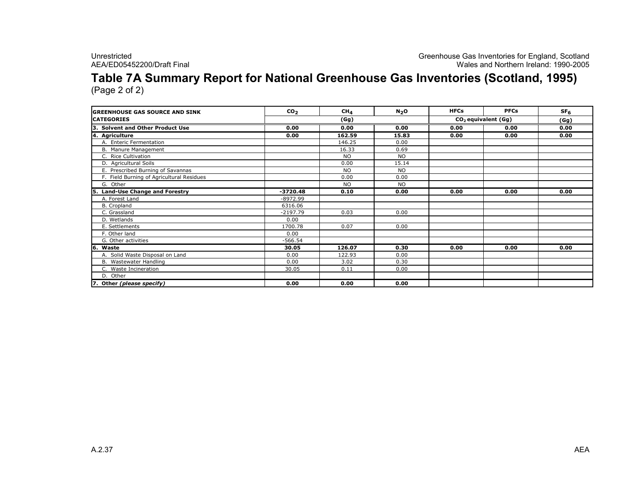### Table 7A Summary Report for National Greenhouse Gas Inventories (Scotland, 1995) (Page 2 of 2)

GREENHOUSE GAS SOURCE AND SINKK  $CO_2$  CM<sub>4</sub> N<sub>2</sub>O HFCs PFCs SF<sub>6</sub> **CATEGORIES**  (Gg) 3. Solvent and Other Product Use 0.00 0.00 0.00 0.00 0.00 0.00 4. Agriculture 0.00 162.59 15.83 0.00 0.00 0.00 A. Enteric Fermentationn 146.25 0.00<br>+ 16.22 0.60 B. Manure Management $\frac{16.33}{N}$  0.69 C. Rice Cultivationn<br>1980 - Andrea Britain, actris ann an Cathair an Cathair an Chomhair an Chomhair an Chomhair an Chomhair an Ch<br>1990 - An Eilean an t-Iar-Aonaich an t-Iar-Aonaich an t-Iar-Aonaich an t-Iar-Aonaich an t-Iar-Aonaich an t-Iar D. Agricultural Soils $\frac{15.14}{100}$  15.14 E. Prescribed Burning of Savannas NO NO F. Field Burning of Agricultural Residues $\sim$  0.00 0.00 0.00 G. Other NO NO 5. Land-Use Change and Forestry -3720.48 0.10 0.00 0.00 0.00 0.00 A. Forest Land -8972.996316.06 B. Croplandd 6316.06  $-2197.79$ C. Grassland -2197.79 0.03 0.00 D. Wetlandss and  $\sim$  0.00  $\sim$  0.00  $\sim$ 1700.78 E. Settlementss 1700.78 0.07 0.00<br>2000 0.07 0.00 F. Other landd 0.00  $-566.54$ G. Other activities -566.54 $30.05$ **Waste**  30.05 126.07 0.30 0.00 0.00 0.00 A. Solid Waste Disposal on Landd 0.00 122.93 0.00<br>0.00 2.00 2.00 0.00 0.00 B. Wastewater Handling $\begin{array}{|c|c|c|c|c|c|}\n\hline\ng & 0.00 & 3.02 & 0.30 \\
\hline\n20.05 & 0.11 & 0.00\n\end{array}$ C. Waste Incineration 30.05 0.11 0.00 D. Other7. Other (please specify)  $\begin{array}{|c|c|c|c|c|c|c|c|} \hline \rule{0.2cm}{0.06cm} & \rule{0.2cm}{0.06cm} & \rule{0.2cm}{0.06cm} & \rule{0.2cm}{0.06cm} & \rule{0.2cm}{0.06cm} & \rule{0.2cm}{0.06cm} & \rule{0.2cm}{0.06cm} & \rule{0.2cm}{0.06cm} & \rule{0.2cm}{0.06cm} & \rule{0.2cm}{0.06cm} & \rule{0.2cm}{0.06cm} & \rule{0.2cm}{0.06cm} & \rule{0.2cm}{0.06cm}$ (Gg) $\begin{array}{|c|c|c|c|}\n\hline\n\text{(Gg)} & \text{CO}_2 \text{ equivalent (Gg)} \\
\hline\n0.00 & 0.00 & 0.00 & 0.00 \\
\hline\n\end{array}$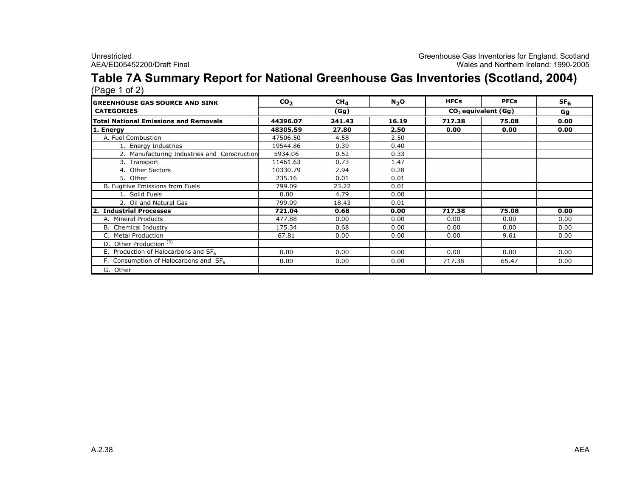### Table 7A Summary Report for National Greenhouse Gas Inventories (Scotland, 2004)(Page 1 of 2)

| <u>ِ ب</u><br><b>IGREENHOUSE GAS SOURCE AND SINK</b> | CO <sub>2</sub> | CH <sub>4</sub> | N <sub>2</sub> O | <b>HFCs</b>           | <b>PFCs</b> | SF <sub>6</sub> |
|------------------------------------------------------|-----------------|-----------------|------------------|-----------------------|-------------|-----------------|
| <b>CATEGORIES</b>                                    | (Gg)            |                 |                  | $CO2$ equivalent (Gg) | Gg          |                 |
| <b>Total National Emissions and Removals</b>         | 44396.07        | 241.43          | 16.19            | 717.38                | 75.08       | 0.00            |
| 1. Energy                                            | 48305.59        | 27.80           | 2.50             | 0.00                  | 0.00        | 0.00            |
| A. Fuel Combustion                                   | 47506.50        | 4.58            | 2.50             |                       |             |                 |
| 1. Energy Industries                                 | 19544.86        | 0.39            | 0.40             |                       |             |                 |
| 2. Manufacturing Industries and Construction         | 5934.06         | 0.52            | 0.33             |                       |             |                 |
| 3. Transport                                         | 11461.63        | 0.73            | 1.47             |                       |             |                 |
| 4. Other Sectors                                     | 10330.79        | 2.94            | 0.28             |                       |             |                 |
| 5. Other                                             | 235.16          | 0.01            | 0.01             |                       |             |                 |
| B. Fugitive Emissions from Fuels                     | 799.09          | 23.22           | 0.01             |                       |             |                 |
| 1. Solid Fuels                                       | 0.00            | 4.79            | 0.00             |                       |             |                 |
| 2. Oil and Natural Gas                               | 799.09          | 18.43           | 0.01             |                       |             |                 |
| <b>Industrial Processes</b><br>2.                    | 721.04          | 0.68            | 0.00             | 717.38                | 75.08       | 0.00            |
| A. Mineral Products                                  | 477.88          | 0.00            | 0.00             | 0.00                  | 0.00        | 0.00            |
| <b>B.</b> Chemical Industry                          | 175.34          | 0.68            | 0.00             | 0.00                  | 0.00        | 0.00            |
| C. Metal Production                                  | 67.81           | 0.00            | 0.00             | 0.00                  | 9.61        | 0.00            |
| D. Other Production <sup>(3)</sup>                   |                 |                 |                  |                       |             |                 |
| E. Production of Halocarbons and $SF_6$              | 0.00            | 0.00            | 0.00             | 0.00                  | 0.00        | 0.00            |
| F. Consumption of Halocarbons and $SF6$              | 0.00            | 0.00            | 0.00             | 717.38                | 65.47       | 0.00            |
| G. Other                                             |                 |                 |                  |                       |             |                 |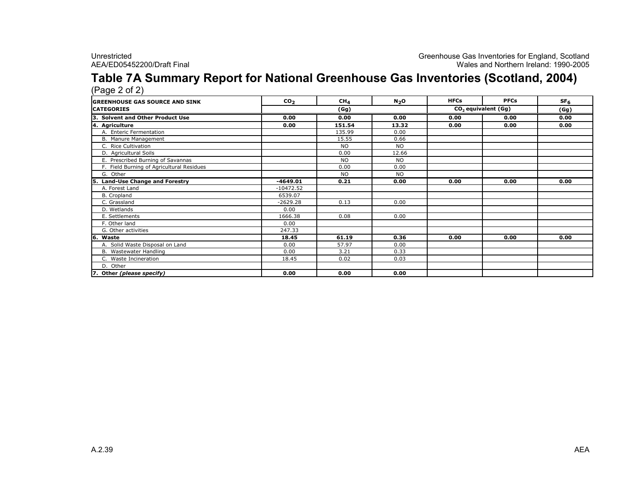### Table 7A Summary Report for National Greenhouse Gas Inventories (Scotland, 2004)(Page 2 of 2)

| <b>GREENHOUSE GAS SOURCE AND SINK</b>     | CO <sub>2</sub> | CH <sub>4</sub> | N <sub>2</sub> O | <b>HFCs</b> | <b>PFCs</b>                     | SF <sub>6</sub> |
|-------------------------------------------|-----------------|-----------------|------------------|-------------|---------------------------------|-----------------|
| <b>CATEGORIES</b>                         |                 | (Gg)            |                  |             | CO <sub>2</sub> equivalent (Gg) | (Gg)            |
| 3. Solvent and Other Product Use          | 0.00            | 0.00            | 0.00             | 0.00        | 0.00                            | 0.00            |
| 4. Agriculture                            | 0.00            | 151.54          | 13.32            | 0.00        | 0.00                            | 0.00            |
| A. Enteric Fermentation                   |                 | 135.99          | 0.00             |             |                                 |                 |
| B. Manure Management                      |                 | 15.55           | 0.66             |             |                                 |                 |
| C. Rice Cultivation                       |                 | <b>NO</b>       | <b>NO</b>        |             |                                 |                 |
| D. Agricultural Soils                     |                 | 0.00            | 12.66            |             |                                 |                 |
| E. Prescribed Burning of Savannas         |                 | <b>NO</b>       | <b>NO</b>        |             |                                 |                 |
| F. Field Burning of Agricultural Residues |                 | 0.00            | 0.00             |             |                                 |                 |
| G. Other                                  |                 | <b>NO</b>       | <b>NO</b>        |             |                                 |                 |
| <b>Land-Use Change and Forestry</b>       | $-4649.01$      | 0.21            | 0.00             | 0.00        | 0.00                            | 0.00            |
| A. Forest Land                            | $-10472.52$     |                 |                  |             |                                 |                 |
| B. Cropland                               | 6539.07         |                 |                  |             |                                 |                 |
| C. Grassland                              | $-2629.28$      | 0.13            | 0.00             |             |                                 |                 |
| D. Wetlands                               | 0.00            |                 |                  |             |                                 |                 |
| E. Settlements                            | 1666.38         | 0.08            | 0.00             |             |                                 |                 |
| F. Other land                             | 0.00            |                 |                  |             |                                 |                 |
| G. Other activities                       | 247.33          |                 |                  |             |                                 |                 |
| 6. Waste                                  | 18.45           | 61.19           | 0.36             | 0.00        | 0.00                            | 0.00            |
| A. Solid Waste Disposal on Land           | 0.00            | 57.97           | 0.00             |             |                                 |                 |
| B. Wastewater Handling                    | 0.00            | 3.21            | 0.33             |             |                                 |                 |
| C. Waste Incineration                     | 18.45           | 0.02            | 0.03             |             |                                 |                 |
| D. Other                                  |                 |                 |                  |             |                                 |                 |
| 7. Other (please specify)                 | 0.00            | 0.00            | 0.00             |             |                                 |                 |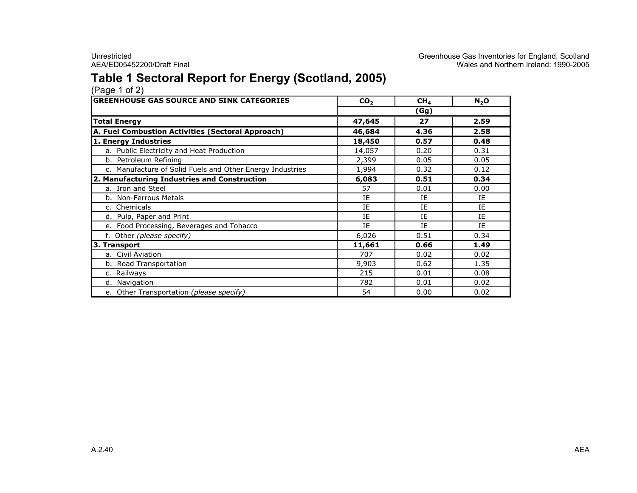# Table 1 Sectoral Report for Energy (Scotland, 2005) (Page 1 of 2)

| <b>GREENHOUSE GAS SOURCE AND SINK CATEGORIES</b>          | CO <sub>2</sub> | CH <sub>4</sub> | $N_2$ O |  |  |  |
|-----------------------------------------------------------|-----------------|-----------------|---------|--|--|--|
|                                                           | (Gg)            |                 |         |  |  |  |
| <b>Total Energy</b>                                       | 47,645          | 27              | 2.59    |  |  |  |
| A. Fuel Combustion Activities (Sectoral Approach)         | 46,684          | 4.36            | 2.58    |  |  |  |
| 1. Energy Industries                                      | 18,450          | 0.57            | 0.48    |  |  |  |
| a. Public Electricity and Heat Production                 | 14,057          | 0.20            | 0.31    |  |  |  |
| b. Petroleum Refining                                     | 2,399           | 0.05            | 0.05    |  |  |  |
| c. Manufacture of Solid Fuels and Other Energy Industries | 1,994           | 0.32            | 0.12    |  |  |  |
| 2. Manufacturing Industries and Construction              | 6,083           | 0.51            | 0.34    |  |  |  |
| a. Iron and Steel                                         | 57              | 0.01            | 0.00    |  |  |  |
| b. Non-Ferrous Metals                                     | IE              | IE              | IE      |  |  |  |
| c. Chemicals                                              | IE              | IE              | IE      |  |  |  |
| d. Pulp, Paper and Print                                  | IE              | IE              | IE      |  |  |  |
| e. Food Processing, Beverages and Tobacco                 | IE              | IE              | ΙE      |  |  |  |
| f. Other (please specify)                                 | 6,026           | 0.51            | 0.34    |  |  |  |
| 3. Transport                                              | 11,661          | 0.66            | 1.49    |  |  |  |
| a. Civil Aviation                                         | 707             | 0.02            | 0.02    |  |  |  |
| b. Road Transportation                                    | 9,903           | 0.62            | 1.35    |  |  |  |
| c. Railways                                               | 215             | 0.01            | 0.08    |  |  |  |
| Navigation<br>d.                                          | 782             | 0.01            | 0.02    |  |  |  |
| Other Transportation (please specify)<br>$e_{1}$          | 54              | 0.00            | 0.02    |  |  |  |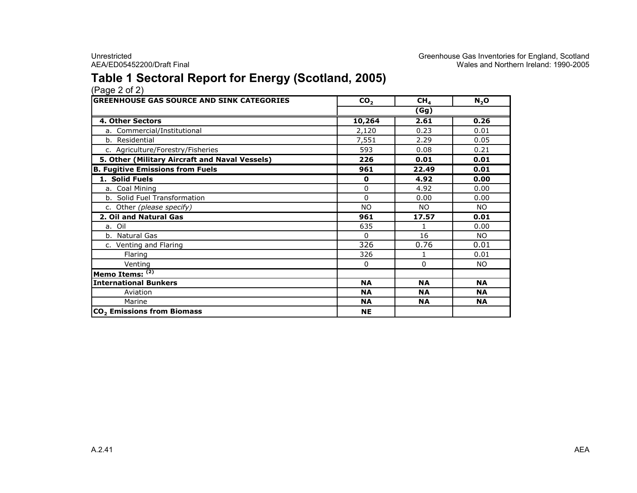# Table 1 Sectoral Report for Energy (Scotland, 2005)

| <b>GREENHOUSE GAS SOURCE AND SINK CATEGORIES</b> | CO <sub>2</sub> | CH <sub>4</sub> | $N_2$ O   |  |  |  |
|--------------------------------------------------|-----------------|-----------------|-----------|--|--|--|
|                                                  | (Gg)            |                 |           |  |  |  |
| 4. Other Sectors                                 | 10,264          | 2.61            | 0.26      |  |  |  |
| a. Commercial/Institutional                      | 2,120           | 0.23            | 0.01      |  |  |  |
| b. Residential                                   | 7,551           | 2.29            | 0.05      |  |  |  |
| c. Agriculture/Forestry/Fisheries                | 593             | 0.08            | 0.21      |  |  |  |
| 5. Other (Military Aircraft and Naval Vessels)   | 226             | 0.01            | 0.01      |  |  |  |
| <b>B. Fugitive Emissions from Fuels</b>          | 961             | 22.49           | 0.01      |  |  |  |
| 1. Solid Fuels                                   | $\mathbf 0$     | 4.92            | 0.00      |  |  |  |
| a. Coal Mining                                   | 0               | 4.92            | 0.00      |  |  |  |
| b. Solid Fuel Transformation                     | $\Omega$        | 0.00            | 0.00      |  |  |  |
| c. Other (please specify)                        | <b>NO</b>       | NO.             | <b>NO</b> |  |  |  |
| 2. Oil and Natural Gas                           | 961             | 17.57           | 0.01      |  |  |  |
| a. Oil                                           | 635             | 1               | 0.00      |  |  |  |
| b. Natural Gas                                   | $\Omega$        | 16              | NO.       |  |  |  |
| c. Venting and Flaring                           | 326             | 0.76            | 0.01      |  |  |  |
| Flaring                                          | 326             |                 | 0.01      |  |  |  |
| Venting                                          | $\mathbf{0}$    | 0               | NO.       |  |  |  |
| Memo Items: $(2)$                                |                 |                 |           |  |  |  |
| <b>International Bunkers</b>                     | <b>NA</b>       | <b>NA</b>       | <b>NA</b> |  |  |  |
| Aviation                                         | <b>NA</b>       | <b>NA</b>       | <b>NA</b> |  |  |  |
| Marine                                           | <b>NA</b>       | <b>NA</b>       | <b>NA</b> |  |  |  |
| CO <sub>2</sub> Emissions from Biomass           | <b>NE</b>       |                 |           |  |  |  |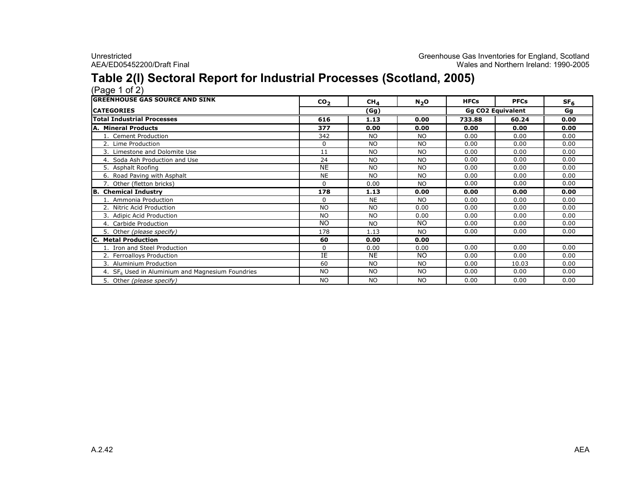### Table 2(I) Sectoral Report for Industrial Processes (Scotland, 2005)

| <b>GREENHOUSE GAS SOURCE AND SINK</b>                        | CO <sub>2</sub> | CH <sub>4</sub> | $N_2$ O   | <b>HFCs</b>              | <b>PFCs</b> | SF <sub>6</sub> |  |
|--------------------------------------------------------------|-----------------|-----------------|-----------|--------------------------|-------------|-----------------|--|
| <b>ICATEGORIES</b>                                           | (Gg)            |                 |           | <b>Gg CO2 Equivalent</b> |             | Gq              |  |
| <b>Total Industrial Processes</b>                            | 616             | 1.13            | 0.00      | 733.88                   | 60.24       | 0.00            |  |
| <b>A. Mineral Products</b>                                   | 377             | 0.00            | 0.00      | 0.00                     | 0.00        | 0.00            |  |
| Cement Production                                            | 342             | <b>NO</b>       | NO.       | 0.00                     | 0.00        | 0.00            |  |
| 2. Lime Production                                           | $\Omega$        | <b>NO</b>       | NO.       | 0.00                     | 0.00        | 0.00            |  |
| 3. Limestone and Dolomite Use                                | 11              | <b>NO</b>       | NO.       | 0.00                     | 0.00        | 0.00            |  |
| 4. Soda Ash Production and Use                               | 24              | <b>NO</b>       | <b>NO</b> | 0.00                     | 0.00        | 0.00            |  |
| 5. Asphalt Roofing                                           | <b>NE</b>       | <b>NO</b>       | <b>NO</b> | 0.00                     | 0.00        | 0.00            |  |
| 6. Road Paving with Asphalt                                  | <b>NE</b>       | <b>NO</b>       | <b>NO</b> | 0.00                     | 0.00        | 0.00            |  |
| 7. Other (fletton bricks)                                    | 0               | 0.00            | <b>NO</b> | 0.00                     | 0.00        | 0.00            |  |
| <b>B.</b> Chemical Industry                                  | 178             | 1.13            | 0.00      | 0.00                     | 0.00        | 0.00            |  |
| 1. Ammonia Production                                        | $\Omega$        | <b>NE</b>       | <b>NO</b> | 0.00                     | 0.00        | 0.00            |  |
| 2. Nitric Acid Production                                    | <b>NO</b>       | <b>NO</b>       | 0.00      | 0.00                     | 0.00        | 0.00            |  |
| 3. Adipic Acid Production                                    | <b>NO</b>       | <b>NO</b>       | 0.00      | 0.00                     | 0.00        | 0.00            |  |
| 4. Carbide Production                                        | <b>NO</b>       | <b>NO</b>       | <b>NO</b> | 0.00                     | 0.00        | 0.00            |  |
| 5. Other (please specify)                                    | 178             | 1.13            | <b>NO</b> | 0.00                     | 0.00        | 0.00            |  |
| <b>Metal Production</b><br>IC.                               | 60              | 0.00            | 0.00      |                          |             |                 |  |
| 1. Iron and Steel Production                                 | 0               | 0.00            | 0.00      | 0.00                     | 0.00        | 0.00            |  |
| 2. Ferroalloys Production                                    | IE              | <b>NE</b>       | <b>NO</b> | 0.00                     | 0.00        | 0.00            |  |
| 3. Aluminium Production                                      | 60              | <b>NO</b>       | <b>NO</b> | 0.00                     | 10.03       | 0.00            |  |
| 4. SF <sub>6</sub> Used in Aluminium and Magnesium Foundries | <b>NO</b>       | <b>NO</b>       | NO.       | 0.00                     | 0.00        | 0.00            |  |
| Other (please specify)<br>5.                                 | <b>NO</b>       | <b>NO</b>       | <b>NO</b> | 0.00                     | 0.00        | 0.00            |  |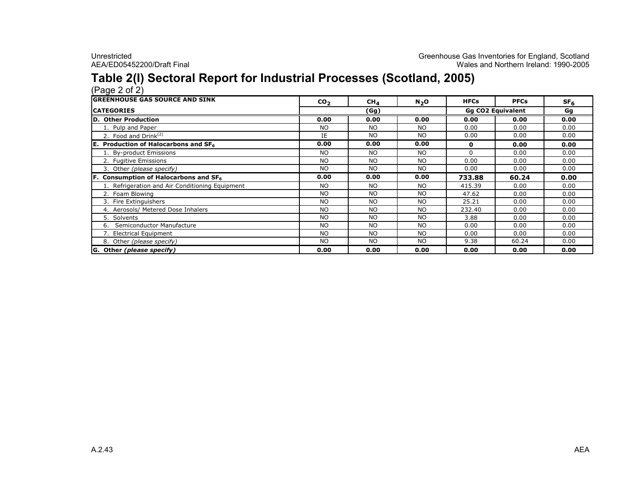### Table 2(I) Sectoral Report for Industrial Processes (Scotland, 2005)

| <b>GREENHOUSE GAS SOURCE AND SINK</b>           | CO <sub>2</sub> | CH <sub>4</sub> | N <sub>2</sub> O | <b>HFCs</b> | <b>PFCs</b>       | SF <sub>6</sub> |
|-------------------------------------------------|-----------------|-----------------|------------------|-------------|-------------------|-----------------|
| <b>ICATEGORIES</b>                              |                 | (Gg)            |                  |             | Gq CO2 Equivalent | Gg              |
| D. Other Production                             | 0.00            | 0.00            | 0.00             | 0.00        | 0.00              | 0.00            |
| 1. Pulp and Paper                               | <b>NO</b>       | NO.             | NO.              | 0.00        | 0.00              | 0.00            |
| 2. Food and Drink $(2)$                         | IE              | NO.             | NO.              | 0.00        | 0.00              | 0.00            |
| <b>E.</b> Production of Halocarbons and $SF6$   | 0.00            | 0.00            | 0.00             | 0           | 0.00              | 0.00            |
| 1. By-product Emissions                         | <b>NO</b>       | <b>NO</b>       | NO.              | $\Omega$    | 0.00              | 0.00            |
| 2. Fugitive Emissions                           | <b>NO</b>       | <b>NO</b>       | NO.              | 0.00        | 0.00              | 0.00            |
| 3. Other (please specify)                       | <b>NO</b>       | <b>NO</b>       | NO.              | 0.00        | 0.00              | 0.00            |
| <b>F.</b> Consumption of Halocarbons and $SF6$  | 0.00            | 0.00            | 0.00             | 733.88      | 60.24             | 0.00            |
| 1. Refrigeration and Air Conditioning Equipment | <b>NO</b>       | <b>NO</b>       | NO.              | 415.39      | 0.00              | 0.00            |
| 2. Foam Blowing                                 | <b>NO</b>       | <b>NO</b>       | NO.              | 47.62       | 0.00              | 0.00            |
| 3. Fire Extinguishers                           | NO.             | NO.             | NO.              | 25.21       | 0.00              | 0.00            |
| 4. Aerosols/ Metered Dose Inhalers              | <b>NO</b>       | <b>NO</b>       | <b>NO</b>        | 232.40      | 0.00              | 0.00            |
| 5. Solvents                                     | <b>NO</b>       | NO.             | <b>NO</b>        | 3.88        | 0.00              | 0.00            |
| Semiconductor Manufacture<br>6.                 | <b>NO</b>       | <b>NO</b>       | <b>NO</b>        | 0.00        | 0.00              | 0.00            |
| 7. Electrical Equipment                         | <b>NO</b>       | <b>NO</b>       | NO.              | 0.00        | 0.00              | 0.00            |
| 8. Other (please specify)                       | <b>NO</b>       | NO.             | NO.              | 9.38        | 60.24             | 0.00            |
| G. Other (please specify)                       | 0.00            | 0.00            | 0.00             | 0.00        | 0.00              | 0.00            |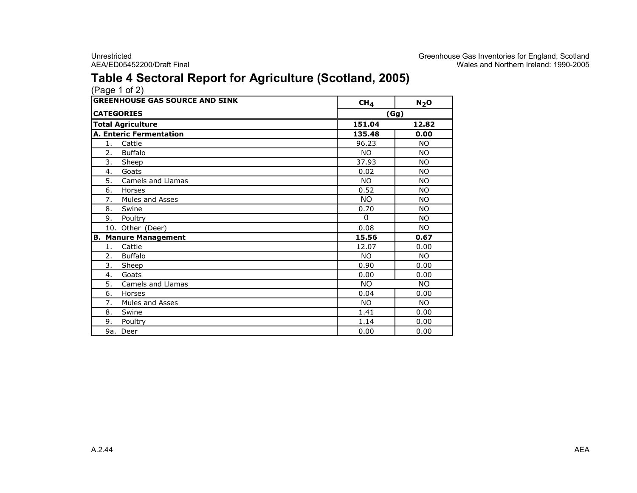# Table 4 Sectoral Report for Agriculture (Scotland, 2005)

| (Page 1 of 2) |  |  |
|---------------|--|--|
|               |  |  |

|                  | <b>GREENHOUSE GAS SOURCE AND SINK</b> | CH <sub>4</sub> | $N_2$ O   |
|------------------|---------------------------------------|-----------------|-----------|
|                  | <b>CATEGORIES</b>                     | (Gg)            |           |
|                  | <b>Total Agriculture</b>              | 151.04          | 12.82     |
|                  | <b>A. Enteric Fermentation</b>        | 135.48          | 0.00      |
| 1.               | Cattle                                | 96.23           | <b>NO</b> |
| 2.               | <b>Buffalo</b>                        | NO.             | <b>NO</b> |
| 3.               | Sheep                                 | 37.93           | <b>NO</b> |
| 4.               | Goats                                 | 0.02            | <b>NO</b> |
| $\overline{5}$ . | Camels and Llamas                     | NO.             | <b>NO</b> |
| 6.               | Horses                                | 0.52            | <b>NO</b> |
| 7.               | <b>Mules and Asses</b>                | <b>NO</b>       | <b>NO</b> |
| 8.               | Swine                                 | 0.70            | <b>NO</b> |
| 9.               | Poultry                               | $\Omega$        | <b>NO</b> |
|                  | 10. Other (Deer)                      | 0.08            | <b>NO</b> |
| В.               | <b>Manure Management</b>              | 15.56           | 0.67      |
| 1.               | Cattle                                | 12.07           | 0.00      |
| 2.               | <b>Buffalo</b>                        | <b>NO</b>       | <b>NO</b> |
| 3.               | Sheep                                 | 0.90            | 0.00      |
| 4.               | Goats                                 | 0.00            | 0.00      |
| 5.               | Camels and Llamas                     | $\overline{NO}$ | <b>NO</b> |
| 6.               | Horses                                | 0.04            | 0.00      |
| 7.               | Mules and Asses                       | <b>NO</b>       | <b>NO</b> |
| 8.               | Swine                                 | 1.41            | 0.00      |
| 9.               | Poultry                               | 1.14            | 0.00      |
| 9a.              | Deer                                  | 0.00            | 0.00      |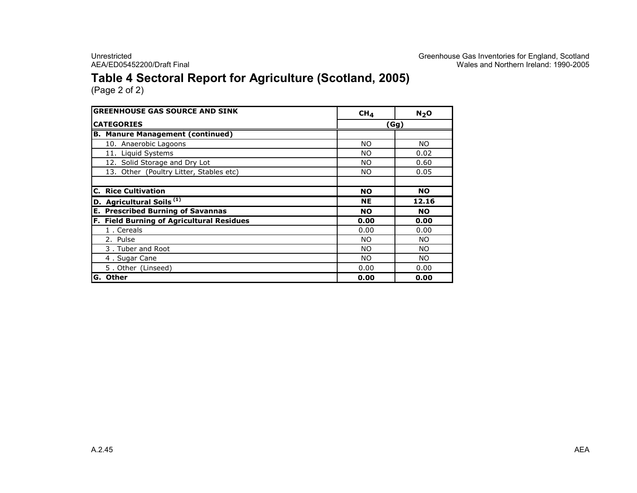Unrestricted Creenhouse Gas Inventories for England, Scotland<br>Greenhouse Gas Inventories for England, Scotland<br>Wales and Northern Ireland: 1990-2005 AEA/ED05452200/Draft Final Wales and Northern Ireland: 1990-2005

# Table 4 Sectoral Report for Agriculture (Scotland, 2005)

| <b>GREENHOUSE GAS SOURCE AND SINK</b>     | CH <sub>4</sub> | $N_2$ O   |  |  |
|-------------------------------------------|-----------------|-----------|--|--|
| <b>CATEGORIES</b>                         | Gg)             |           |  |  |
| <b>B. Manure Management (continued)</b>   |                 |           |  |  |
| 10. Anaerobic Lagoons                     | NO.             | NO.       |  |  |
| 11. Liquid Systems                        | <b>NO</b>       | 0.02      |  |  |
| 12. Solid Storage and Dry Lot             | <b>NO</b>       | 0.60      |  |  |
| 13. Other (Poultry Litter, Stables etc)   | NO.             | 0.05      |  |  |
|                                           |                 |           |  |  |
| <b>C. Rice Cultivation</b>                | <b>NO</b>       | <b>NO</b> |  |  |
| D. Agricultural Soils <sup>(1)</sup>      | <b>NE</b>       | 12.16     |  |  |
| <b>E. Prescribed Burning of Savannas</b>  | <b>NO</b>       | <b>NO</b> |  |  |
| F. Field Burning of Agricultural Residues | 0.00            | 0.00      |  |  |
| 1. Cereals                                | 0.00            | 0.00      |  |  |
| 2. Pulse                                  | <b>NO</b>       | NO.       |  |  |
| 3. Tuber and Root                         | NO.             | <b>NO</b> |  |  |
| 4. Sugar Cane                             | <b>NO</b>       | NO.       |  |  |
| 5. Other (Linseed)                        | 0.00            | 0.00      |  |  |
| Other<br>IG.                              | 0.00            | 0.00      |  |  |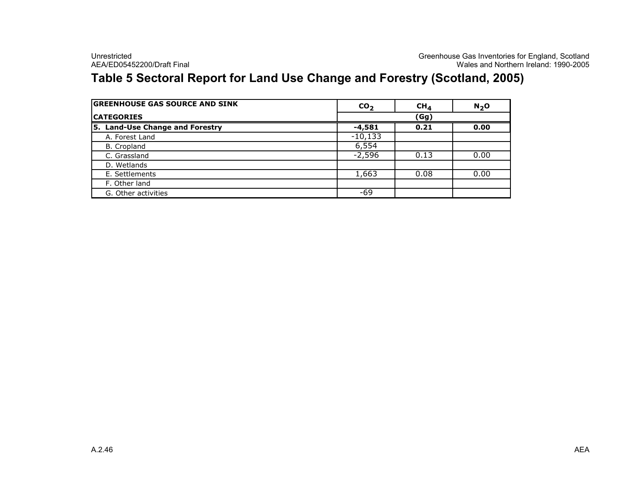# Table 5 Sectoral Report for Land Use Change and Forestry (Scotland, 2005)

| <b>GREENHOUSE GAS SOURCE AND SINK</b> | CO <sub>2</sub> | CH <sub>A</sub> | N <sub>2</sub> O |
|---------------------------------------|-----------------|-----------------|------------------|
| <b>ICATEGORIES</b>                    | (Gg)            |                 |                  |
| 5. Land-Use Change and Forestry       | $-4,581$        | 0.21            | 0.00             |
| A. Forest Land                        | $-10,133$       |                 |                  |
| B. Cropland                           | 6,554           |                 |                  |
| C. Grassland                          | $-2,596$        | 0.13            | 0.00             |
| D. Wetlands                           |                 |                 |                  |
| E. Settlements                        | 1,663           | 0.08            | 0.00             |
| F. Other land                         |                 |                 |                  |
| G. Other activities                   | -69             |                 |                  |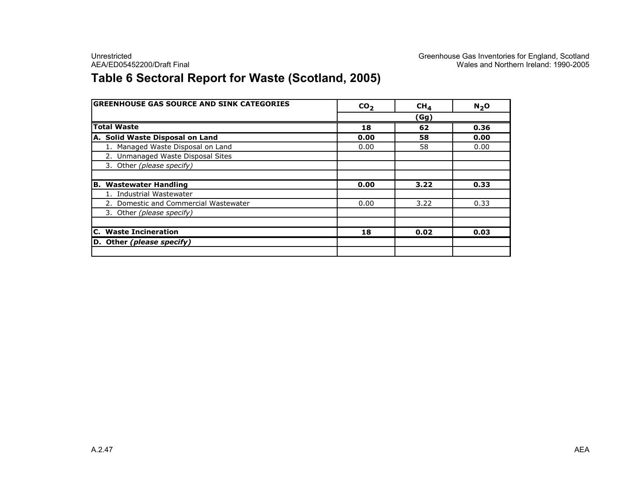# Table 6 Sectoral Report for Waste (Scotland, 2005)

| <b>GREENHOUSE GAS SOURCE AND SINK CATEGORIES</b> | CO <sub>2</sub> | CH <sub>4</sub> | $N_2$ O |
|--------------------------------------------------|-----------------|-----------------|---------|
|                                                  |                 | (Gg)            |         |
| <b>Total Waste</b>                               | 18              | 62              | 0.36    |
| A. Solid Waste Disposal on Land                  | 0.00            | 58              | 0.00    |
| 1. Managed Waste Disposal on Land                | 0.00            | 58              | 0.00    |
| 2. Unmanaged Waste Disposal Sites                |                 |                 |         |
| 3. Other (please specify)                        |                 |                 |         |
|                                                  |                 |                 |         |
| <b>B. Wastewater Handling</b>                    | 0.00            | 3.22            | 0.33    |
| 1. Industrial Wastewater                         |                 |                 |         |
| 2. Domestic and Commercial Wastewater            | 0.00            | 3.22            | 0.33    |
| 3. Other (please specify)                        |                 |                 |         |
|                                                  |                 |                 |         |
| <b>C.</b> Waste Incineration                     | 18              | 0.02            | 0.03    |
| D. Other (please specify)                        |                 |                 |         |
|                                                  |                 |                 |         |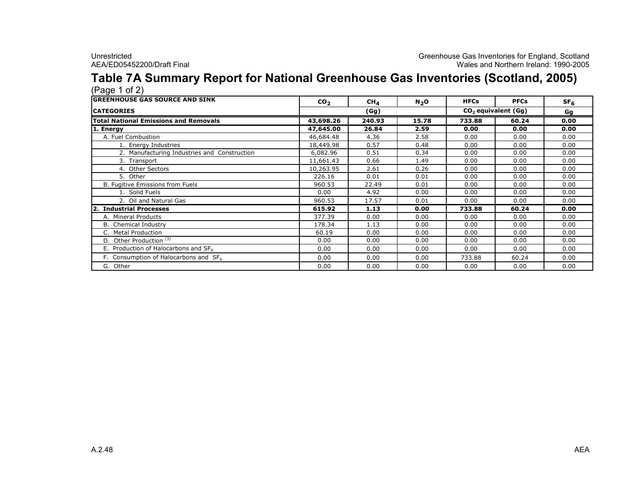### Table 7A Summary Report for National Greenhouse Gas Inventories (Scotland, 2005)  $(Pa<sub>0</sub>e<sub>1</sub> of 2)$

| <b>IGREENHOUSE GAS SOURCE AND SINK</b>       | CO <sub>2</sub> | $CH_{4}$ | N <sub>2</sub> O | <b>HFCs</b>           | <b>PFCs</b> | SF <sub>6</sub> |
|----------------------------------------------|-----------------|----------|------------------|-----------------------|-------------|-----------------|
| <b>ICATEGORIES</b>                           |                 | (Gg)     |                  | $CO2$ equivalent (Gg) | Gq          |                 |
| <b>Total National Emissions and Removals</b> | 43,698.26       | 240.93   | 15.78            | 733.88                | 60.24       | 0.00            |
| 1. Energy                                    | 47,645.00       | 26.84    | 2.59             | 0.00                  | 0.00        | 0.00            |
| A. Fuel Combustion                           | 46,684.48       | 4.36     | 2.58             | 0.00                  | 0.00        | 0.00            |
| 1. Energy Industries                         | 18,449.98       | 0.57     | 0.48             | 0.00                  | 0.00        | 0.00            |
| 2. Manufacturing Industries and Construction | 6,082.96        | 0.51     | 0.34             | 0.00                  | 0.00        | 0.00            |
| 3. Transport                                 | 11,661.43       | 0.66     | 1.49             | 0.00                  | 0.00        | 0.00            |
| 4. Other Sectors                             | 10,263.95       | 2.61     | 0.26             | 0.00                  | 0.00        | 0.00            |
| 5. Other                                     | 226.16          | 0.01     | 0.01             | 0.00                  | 0.00        | 0.00            |
| B. Fugitive Emissions from Fuels             | 960.53          | 22.49    | 0.01             | 0.00                  | 0.00        | 0.00            |
| 1. Solid Fuels                               | 0.00            | 4.92     | 0.00             | 0.00                  | 0.00        | 0.00            |
| 2. Oil and Natural Gas                       | 960.53          | 17.57    | 0.01             | 0.00                  | 0.00        | 0.00            |
| <b>Industrial Processes</b>                  | 615.92          | 1.13     | 0.00             | 733.88                | 60.24       | 0.00            |
| A. Mineral Products                          | 377.39          | 0.00     | 0.00             | 0.00                  | 0.00        | 0.00            |
| B. Chemical Industry                         | 178.34          | 1.13     | 0.00             | 0.00                  | 0.00        | 0.00            |
| C. Metal Production                          | 60.19           | 0.00     | 0.00             | 0.00                  | 0.00        | 0.00            |
| D. Other Production <sup>(3)</sup>           | 0.00            | 0.00     | 0.00             | 0.00                  | 0.00        | 0.00            |
| E. Production of Halocarbons and $SF6$       | 0.00            | 0.00     | 0.00             | 0.00                  | 0.00        | 0.00            |
| F. Consumption of Halocarbons and $SF6$      | 0.00            | 0.00     | 0.00             | 733.88                | 60.24       | 0.00            |
| G. Other                                     | 0.00            | 0.00     | 0.00             | 0.00                  | 0.00        | 0.00            |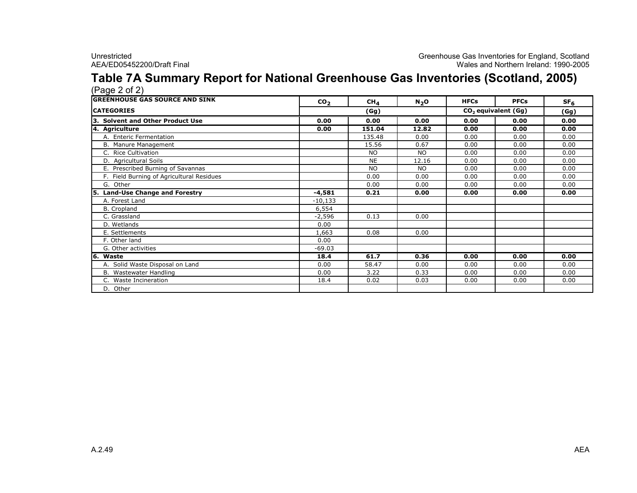### Table 7A Summary Report for National Greenhouse Gas Inventories (Scotland, 2005)  $(P$ age  $2$  of  $2)$

| $(1$ ugu $\sim$ 01 $\sim$ 1                |                 |                 |           |                       |             |                 |  |  |
|--------------------------------------------|-----------------|-----------------|-----------|-----------------------|-------------|-----------------|--|--|
| <b>GREENHOUSE GAS SOURCE AND SINK</b>      | CO <sub>2</sub> | CH <sub>4</sub> | $N_2$ O   | <b>HFCs</b>           | <b>PFCs</b> | SF <sub>6</sub> |  |  |
| <b>CATEGORIES</b>                          | (Gg)            |                 |           | $CO2$ equivalent (Gg) |             | (Gg)            |  |  |
| 3. Solvent and Other Product Use           | 0.00            | 0.00            | 0.00      | 0.00                  | 0.00        | 0.00            |  |  |
| 4. Agriculture                             | 0.00            | 151.04          | 12.82     | 0.00                  | 0.00        | 0.00            |  |  |
| A. Enteric Fermentation                    |                 | 135.48          | 0.00      | 0.00                  | 0.00        | 0.00            |  |  |
| B. Manure Management                       |                 | 15.56           | 0.67      | 0.00                  | 0.00        | 0.00            |  |  |
| C. Rice Cultivation                        |                 | <b>NO</b>       | <b>NO</b> | 0.00                  | 0.00        | 0.00            |  |  |
| D. Agricultural Soils                      |                 | <b>NE</b>       | 12.16     | 0.00                  | 0.00        | 0.00            |  |  |
| E. Prescribed Burning of Savannas          |                 | <b>NO</b>       | <b>NO</b> | 0.00                  | 0.00        | 0.00            |  |  |
| F. Field Burning of Agricultural Residues  |                 | 0.00            | 0.00      | 0.00                  | 0.00        | 0.00            |  |  |
| G. Other                                   |                 | 0.00            | 0.00      | 0.00                  | 0.00        | 0.00            |  |  |
| <b>Land-Use Change and Forestry</b><br>l5. | $-4,581$        | 0.21            | 0.00      | 0.00                  | 0.00        | 0.00            |  |  |
| A. Forest Land                             | $-10,133$       |                 |           |                       |             |                 |  |  |
| B. Cropland                                | 6,554           |                 |           |                       |             |                 |  |  |
| C. Grassland                               | $-2,596$        | 0.13            | 0.00      |                       |             |                 |  |  |
| D. Wetlands                                | 0.00            |                 |           |                       |             |                 |  |  |
| E. Settlements                             | 1,663           | 0.08            | 0.00      |                       |             |                 |  |  |
| F. Other land                              | 0.00            |                 |           |                       |             |                 |  |  |
| G. Other activities                        | $-69.03$        |                 |           |                       |             |                 |  |  |
| 6. Waste                                   | 18.4            | 61.7            | 0.36      | 0.00                  | 0.00        | 0.00            |  |  |
| A. Solid Waste Disposal on Land            | 0.00            | 58.47           | 0.00      | 0.00                  | 0.00        | 0.00            |  |  |
| B. Wastewater Handling                     | 0.00            | 3.22            | 0.33      | 0.00                  | 0.00        | 0.00            |  |  |
| C. Waste Incineration                      | 18.4            | 0.02            | 0.03      | 0.00                  | 0.00        | 0.00            |  |  |
| D. Other                                   |                 |                 |           |                       |             |                 |  |  |